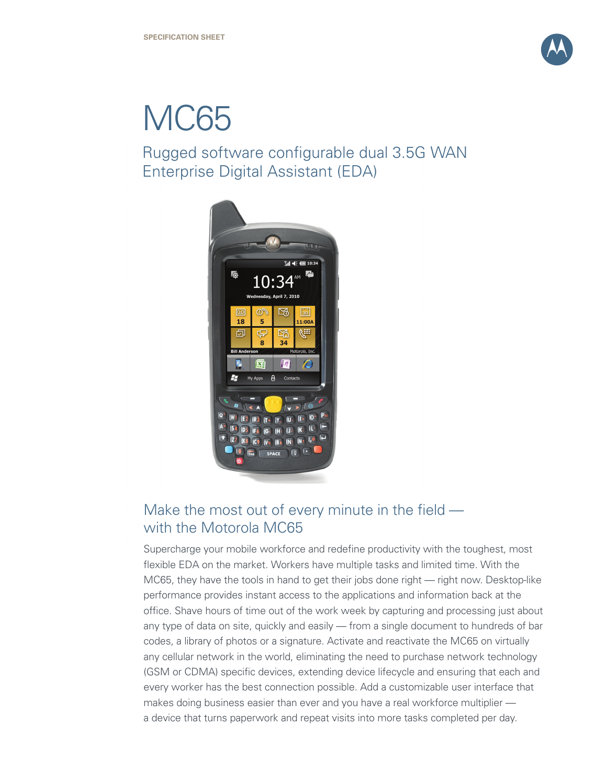

# MC65

Rugged software configurable dual 3.5G WAN Enterprise Digital Assistant (EDA)



# Make the most out of every minute in the field with the Motorola MC65

Supercharge your mobile workforce and redefine productivity with the toughest, most flexible EDA on the market. Workers have multiple tasks and limited time. With the MC65, they have the tools in hand to get their jobs done right — right now. Desktop-like performance provides instant access to the applications and information back at the office. Shave hours of time out of the work week by capturing and processing just about any type of data on site, quickly and easily — from a single document to hundreds of bar codes, a library of photos or a signature. Activate and reactivate the MC65 on virtually any cellular network in the world, eliminating the need to purchase network technology (GSM or CDMA) specific devices, extending device lifecycle and ensuring that each and every worker has the best connection possible. Add a customizable user interface that makes doing business easier than ever and you have a real workforce multiplier a device that turns paperwork and repeat visits into more tasks completed per day.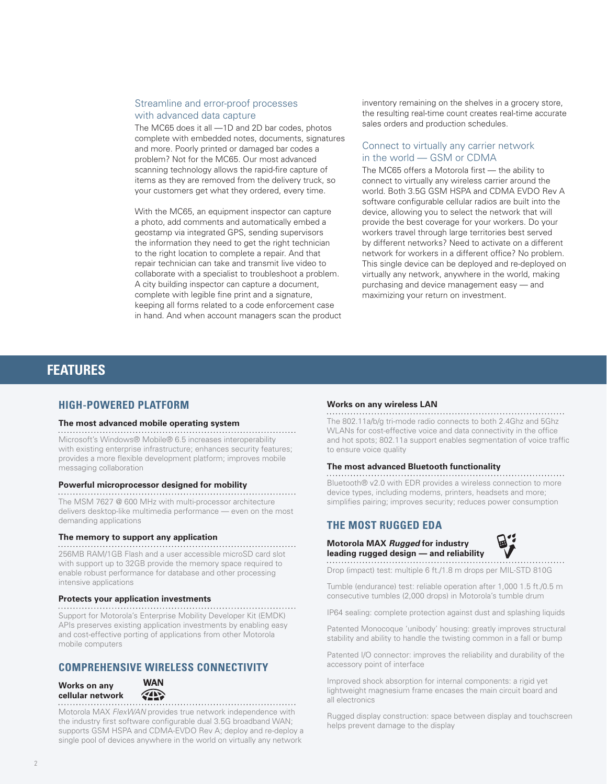# Streamline and error-proof processes with advanced data capture

The MC65 does it all —1D and 2D bar codes, photos complete with embedded notes, documents, signatures and more. Poorly printed or damaged bar codes a problem? Not for the MC65. Our most advanced scanning technology allows the rapid-fire capture of items as they are removed from the delivery truck, so your customers get what they ordered, every time.

With the MC65, an equipment inspector can capture a photo, add comments and automatically embed a geostamp via integrated GPS, sending supervisors the information they need to get the right technician to the right location to complete a repair. And that repair technician can take and transmit live video to collaborate with a specialist to troubleshoot a problem. A city building inspector can capture a document, complete with legible fine print and a signature, keeping all forms related to a code enforcement case in hand. And when account managers scan the product inventory remaining on the shelves in a grocery store, the resulting real-time count creates real-time accurate sales orders and production schedules.

# Connect to virtually any carrier network in the world — GSM or CDMA

The MC65 offers a Motorola first — the ability to connect to virtually any wireless carrier around the world. Both 3.5G GSM HSPA and CDMA EVDO Rev A software configurable cellular radios are built into the device, allowing you to select the network that will provide the best coverage for your workers. Do your workers travel through large territories best served by different networks? Need to activate on a different network for workers in a different office? No problem. This single device can be deployed and re-deployed on virtually any network, anywhere in the world, making purchasing and device management easy — and maximizing your return on investment.

# **FEATURES**

# **HIGH-POWERED PLATFORM**

#### **The most advanced mobile operating system**

Microsoft's Windows® Mobile® 6.5 increases interoperability with existing enterprise infrastructure; enhances security features; provides a more flexible development platform; improves mobile messaging collaboration

#### **Powerful microprocessor designed for mobility**

The MSM 7627 @ 600 MHz with multi-processor architecture delivers desktop-like multimedia performance — even on the most demanding applications

#### **The memory to support any application**

256MB RAM/1GB Flash and a user accessible microSD card slot with support up to 32GB provide the memory space required to enable robust performance for database and other processing intensive applications

#### **Protects your application investments**

Support for Motorola's Enterprise Mobility Developer Kit (EMDK) APIs preserves existing application investments by enabling easy and cost-effective porting of applications from other Motorola mobile computers

# **COMPREHENSIVE WIRELESS CONNECTIVITY**

#### **Works on any cellular network**



Motorola MAX *FlexWAN* provides true network independence with the industry first software configurable dual 3.5G broadband WAN; supports GSM HSPA and CDMA-EVDO Rev A; deploy and re-deploy a single pool of devices anywhere in the world on virtually any network

# **Works on any wireless LAN**

The 802.11a/b/g tri-mode radio connects to both 2.4Ghz and 5Ghz WLANs for cost-effective voice and data connectivity in the office and hot spots; 802.11a support enables segmentation of voice traffic to ensure voice quality

#### **The most advanced Bluetooth functionality**

Bluetooth® v2.0 with EDR provides a wireless connection to more device types, including modems, printers, headsets and more; simplifies pairing; improves security; reduces power consumption

# **THE MOST RUGGED EDA**

#### **Motorola MAX** *Rugged* **for industry leading rugged design — and reliability**



Drop (impact) test: multiple 6 ft./1.8 m drops per MIL-STD 810G

Tumble (endurance) test: reliable operation after 1,000 1.5 ft./0.5 m consecutive tumbles (2,000 drops) in Motorola's tumble drum

IP64 sealing: complete protection against dust and splashing liquids

Patented Monocoque 'unibody' housing: greatly improves structural stability and ability to handle the twisting common in a fall or bump

Patented I/O connector: improves the reliability and durability of the accessory point of interface

Improved shock absorption for internal components: a rigid yet lightweight magnesium frame encases the main circuit board and all electronics

Rugged display construction: space between display and touchscreen helps prevent damage to the display

2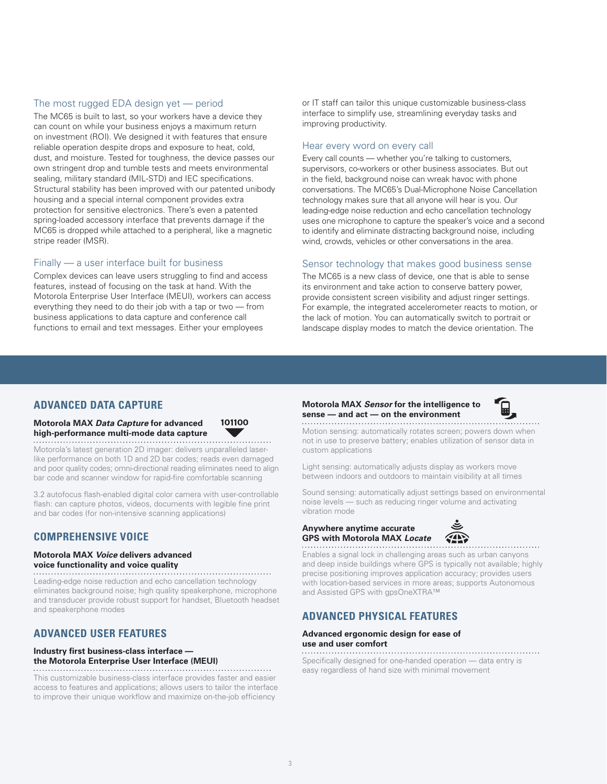## The most rugged EDA design yet — period

The MC65 is built to last, so your workers have a device they can count on while your business enjoys a maximum return on investment (ROI). We designed it with features that ensure reliable operation despite drops and exposure to heat, cold, dust, and moisture. Tested for toughness, the device passes our own stringent drop and tumble tests and meets environmental sealing, military standard (MIL-STD) and IEC specifications. Structural stability has been improved with our patented unibody housing and a special internal component provides extra protection for sensitive electronics. There's even a patented spring-loaded accessory interface that prevents damage if the MC65 is dropped while attached to a peripheral, like a magnetic stripe reader (MSR).

#### Finally — a user interface built for business

Complex devices can leave users struggling to find and access features, instead of focusing on the task at hand. With the Motorola Enterprise User Interface (MEUI), workers can access everything they need to do their job with a tap or two — from business applications to data capture and conference call functions to email and text messages. Either your employees

or IT staff can tailor this unique customizable business-class interface to simplify use, streamlining everyday tasks and improving productivity.

#### Hear every word on every call

Every call counts — whether you're talking to customers, supervisors, co-workers or other business associates. But out in the field, background noise can wreak havoc with phone conversations. The MC65's Dual-Microphone Noise Cancellation technology makes sure that all anyone will hear is you. Our leading-edge noise reduction and echo cancellation technology uses one microphone to capture the speaker's voice and a second to identify and eliminate distracting background noise, including wind, crowds, vehicles or other conversations in the area.

## Sensor technology that makes good business sense

The MC65 is a new class of device, one that is able to sense its environment and take action to conserve battery power, provide consistent screen visibility and adjust ringer settings. For example, the integrated accelerometer reacts to motion, or the lack of motion. You can automatically switch to portrait or landscape display modes to match the device orientation. The

# **ADVANCED DATA CAPTURE**

# **Motorola MAX** *Data Capture* **for advanced high-performance multi-mode data capture**

101100

Motorola's latest generation 2D imager: delivers unparalleled laserlike performance on both 1D and 2D bar codes; reads even damaged and poor quality codes; omni-directional reading eliminates need to align bar code and scanner window for rapid-fire comfortable scanning

3.2 autofocus flash-enabled digital color camera with user-controllable flash: can capture photos, videos, documents with legible fine print and bar codes (for non-intensive scanning applications)

# **COMPREHENSIVE VOICE**

## **Motorola MAX** *Voice* **delivers advanced voice functionality and voice quality**

Leading-edge noise reduction and echo cancellation technology eliminates background noise; high quality speakerphone, microphone and transducer provide robust support for handset, Bluetooth headset and speakerphone modes

# **ADVANCED USER FEATURES**

#### **Industry first business-class interface the Motorola Enterprise User Interface (MEUI)**

This customizable business-class interface provides faster and easier access to features and applications; allows users to tailor the interface to improve their unique workflow and maximize on-the-job efficiency

# **Motorola MAX** *Sensor* **for the intelligence to sense — and act — on the environment**



Motion sensing: automatically rotates screen; powers down when not in use to preserve battery; enables utilization of sensor data in custom applications

Light sensing: automatically adjusts display as workers move between indoors and outdoors to maintain visibility at all times

Sound sensing: automatically adjust settings based on environmental noise levels — such as reducing ringer volume and activating vibration mode

## **Anywhere anytime accurate GPS with Motorola MAX** *Locate*



Enables a signal lock in challenging areas such as urban canyons and deep inside buildings where GPS is typically not available; highly precise positioning improves application accuracy; provides users with location-based services in more areas; supports Autonomous and Assisted GPS with gpsOneXTRA™

# **ADVANCED PHYSICAL FEATURES**

# **Advanced ergonomic design for ease of use and user comfort**

Specifically designed for one-handed operation — data entry is easy regardless of hand size with minimal movement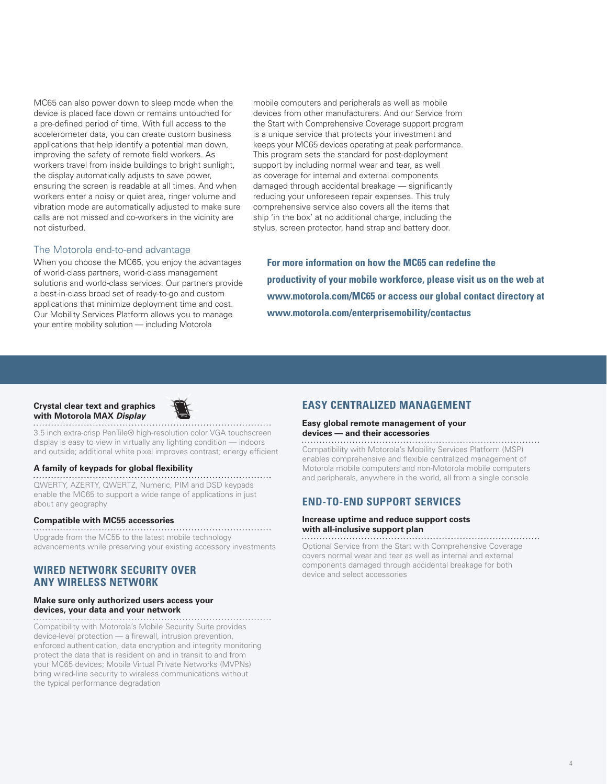MC65 can also power down to sleep mode when the device is placed face down or remains untouched for a pre-defined period of time. With full access to the accelerometer data, you can create custom business applications that help identify a potential man down, improving the safety of remote field workers. As workers travel from inside buildings to bright sunlight, the display automatically adjusts to save power, ensuring the screen is readable at all times. And when workers enter a noisy or quiet area, ringer volume and vibration mode are automatically adjusted to make sure calls are not missed and co-workers in the vicinity are not disturbed.

#### mobile computers and peripherals as well as mobile devices from other manufacturers. And our Service from the Start with Comprehensive Coverage support program is a unique service that protects your investment and keeps your MC65 devices operating at peak performance. This program sets the standard for post-deployment support by including normal wear and tear, as well as coverage for internal and external components damaged through accidental breakage — significantly reducing your unforeseen repair expenses. This truly comprehensive service also covers all the items that ship 'in the box' at no additional charge, including the stylus, screen protector, hand strap and battery door.

## The Motorola end-to-end advantage

When you choose the MC65, you enjoy the advantages of world-class partners, world-class management solutions and world-class services. Our partners provide a best-in-class broad set of ready-to-go and custom applications that minimize deployment time and cost. Our Mobility Services Platform allows you to manage your entire mobility solution — including Motorola

**For more information on how the MC65 can redefine the productivity of your mobile workforce, please visit us on the web at www.motorola.com/MC65 or access our global contact directory at www.motorola.com/enterprisemobility/contactus**

#### **Crystal clear text and graphics with Motorola MAX** *Display*



3.5 inch extra-crisp PenTile® high-resolution color VGA touchscreen display is easy to view in virtually any lighting condition — indoors and outside; additional white pixel improves contrast; energy efficient

#### **A family of keypads for global flexibility**

QWERTY, AZERTY, QWERTZ, Numeric, PIM and DSD keypads enable the MC65 to support a wide range of applications in just about any geography

#### **Compatible with MC55 accessories**

Upgrade from the MC55 to the latest mobile technology advancements while preserving your existing accessory investments

# **WIRED NETWORK SECURITY OVER ANY WIRELESS NETWORK**

# **Make sure only authorized users access your devices, your data and your network**

Compatibility with Motorola's Mobile Security Suite provides device-level protection — a firewall, intrusion prevention, enforced authentication, data encryption and integrity monitoring protect the data that is resident on and in transit to and from your MC65 devices; Mobile Virtual Private Networks (MVPNs) bring wired-line security to wireless communications without the typical performance degradation

# **EASY CENTRALIZED MANAGEMENT**

# **Easy global remote management of your devices — and their accessories**

Compatibility with Motorola's Mobility Services Platform (MSP) enables comprehensive and flexible centralized management of Motorola mobile computers and non-Motorola mobile computers and peripherals, anywhere in the world, all from a single console

# **END-TO-END SUPPORT SERVICES**

# **Increase uptime and reduce support costs with all-inclusive support plan**

Optional Service from the Start with Comprehensive Coverage covers normal wear and tear as well as internal and external components damaged through accidental breakage for both device and select accessories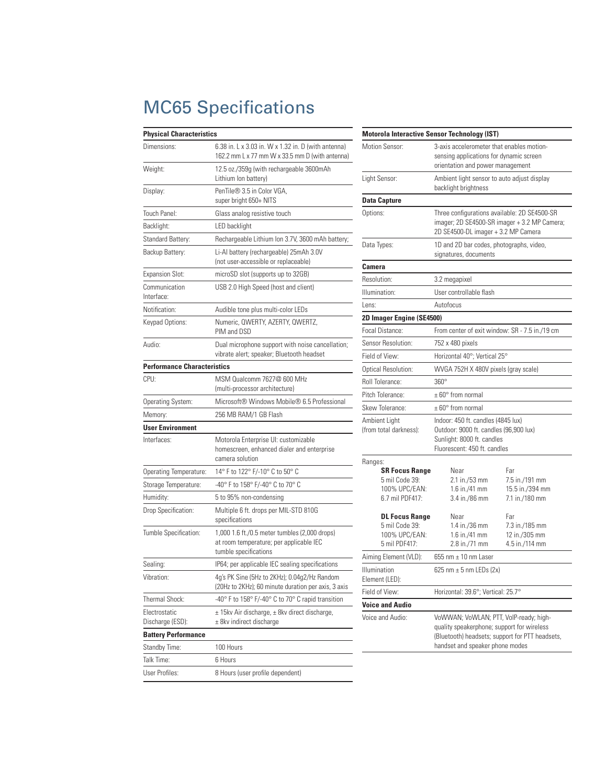# MC65 Specifications

| <b>Physical Characteristics</b>    |                                                                                                                   |  |  |
|------------------------------------|-------------------------------------------------------------------------------------------------------------------|--|--|
| Dimensions:                        | 6.38 in. L x 3.03 in. W x 1.32 in. D (with antenna)<br>162.2 mm L x 77 mm W x 33.5 mm D (with antenna)            |  |  |
| Weight:                            | 12.5 oz./359g (with rechargeable 3600mAh<br>Lithium Ion battery)                                                  |  |  |
| Display:                           | PenTile® 3.5 in Color VGA.<br>super bright 650+ NITS                                                              |  |  |
| Touch Panel:                       | Glass analog resistive touch                                                                                      |  |  |
| Backlight:                         | LED backlight                                                                                                     |  |  |
| Standard Battery:                  | Rechargeable Lithium Ion 3.7V, 3600 mAh battery;                                                                  |  |  |
| Backup Battery:                    | Li-Al battery (rechargeable) 25mAh 3.0V<br>(not user-accessible or replaceable)                                   |  |  |
| <b>Expansion Slot:</b>             | microSD slot (supports up to 32GB)                                                                                |  |  |
| Communication<br>Interface:        | USB 2.0 High Speed (host and client)                                                                              |  |  |
| Notification:                      | Audible tone plus multi-color LEDs                                                                                |  |  |
| Keypad Options:                    | Numeric, QWERTY, AZERTY, QWERTZ,<br>PIM and DSD                                                                   |  |  |
| Audio:                             | Dual microphone support with noise cancellation;<br>vibrate alert; speaker; Bluetooth headset                     |  |  |
| <b>Performance Characteristics</b> |                                                                                                                   |  |  |
| CPU:                               | MSM Qualcomm 7627@ 600 MHz<br>(multi-processor architecture)                                                      |  |  |
| Operating System:                  | Microsoft® Windows Mobile® 6.5 Professional                                                                       |  |  |
| Memory:                            | 256 MB RAM/1 GB Flash                                                                                             |  |  |
| <b>User Environment</b>            |                                                                                                                   |  |  |
| Interfaces:                        | Motorola Enterprise UI: customizable<br>homescreen, enhanced dialer and enterprise<br>camera solution             |  |  |
| Operating Temperature:             | 14° F to 122° F/-10° C to 50° C                                                                                   |  |  |
| Storage Temperature:               | -40° F to 158° F/-40° C to 70° C                                                                                  |  |  |
| Humidity:                          | 5 to 95% non-condensing                                                                                           |  |  |
| Drop Specification:                | Multiple 6 ft. drops per MIL-STD 810G<br>specifications                                                           |  |  |
| Tumble Specification:              | 1,000 1.6 ft./0.5 meter tumbles (2,000 drops)<br>at room temperature; per applicable IEC<br>tumble specifications |  |  |
| Sealing:                           | IP64; per applicable IEC sealing specifications                                                                   |  |  |
| Vibration:                         | 4g's PK Sine (5Hz to 2KHz); 0.04g2/Hz Random<br>(20Hz to 2KHz); 60 minute duration per axis, 3 axis               |  |  |
| Thermal Shock:                     | -40° F to 158° F/-40° C to 70° C rapid transition                                                                 |  |  |
| Electrostatic<br>Discharge (ESD):  | ± 15kv Air discharge, ± 8kv direct discharge,<br>± 8kv indirect discharge                                         |  |  |
| <b>Battery Performance</b>         |                                                                                                                   |  |  |
| Standby Time:                      | 100 Hours                                                                                                         |  |  |
| Talk Time:                         | 6 Hours                                                                                                           |  |  |
| User Profiles:                     | 8 Hours (user profile dependent)                                                                                  |  |  |

|                                                                             | <b>Motorola Interactive Sensor Technology (IST)</b>                                                                                                                        |                                                            |  |  |  |
|-----------------------------------------------------------------------------|----------------------------------------------------------------------------------------------------------------------------------------------------------------------------|------------------------------------------------------------|--|--|--|
| Motion Sensor:                                                              | 3-axis accelerometer that enables motion-<br>sensing applications for dynamic screen<br>orientation and power management                                                   |                                                            |  |  |  |
| Light Sensor:                                                               | Ambient light sensor to auto adjust display<br>backlight brightness                                                                                                        |                                                            |  |  |  |
| <b>Data Capture</b>                                                         |                                                                                                                                                                            |                                                            |  |  |  |
| Options:                                                                    | Three configurations available: 2D SE4500-SR<br>imager; 2D SE4500-SR imager + 3.2 MP Camera;<br>2D SE4500-DL imager + 3.2 MP Camera                                        |                                                            |  |  |  |
| Data Types:                                                                 | 1D and 2D bar codes, photographs, video,<br>signatures, documents                                                                                                          |                                                            |  |  |  |
| Camera                                                                      |                                                                                                                                                                            |                                                            |  |  |  |
| Resolution:                                                                 | 3.2 megapixel                                                                                                                                                              |                                                            |  |  |  |
| Illumination:                                                               | User controllable flash                                                                                                                                                    |                                                            |  |  |  |
| Lens:                                                                       | Autofocus                                                                                                                                                                  |                                                            |  |  |  |
| 2D Imager Engine (SE4500)                                                   |                                                                                                                                                                            |                                                            |  |  |  |
| Focal Distance:                                                             | From center of exit window: SR - 7.5 in./19 cm                                                                                                                             |                                                            |  |  |  |
| Sensor Resolution:                                                          | 752 x 480 pixels                                                                                                                                                           |                                                            |  |  |  |
| Field of View:                                                              | Horizontal 40°; Vertical 25°                                                                                                                                               |                                                            |  |  |  |
| Optical Resolution:                                                         | WVGA 752H X 480V pixels (gray scale)                                                                                                                                       |                                                            |  |  |  |
| Roll Tolerance:                                                             | $360^\circ$                                                                                                                                                                |                                                            |  |  |  |
| Pitch Tolerance:                                                            | $\pm 60^{\circ}$ from normal                                                                                                                                               |                                                            |  |  |  |
| Skew Tolerance:                                                             | $\pm 60^{\circ}$ from normal                                                                                                                                               |                                                            |  |  |  |
| Ambient Light<br>(from total darkness):                                     | Indoor: 450 ft. candles (4845 lux)<br>Outdoor: 9000 ft. candles (96,900 lux)<br>Sunlight: 8000 ft. candles<br>Fluorescent: 450 ft. candles                                 |                                                            |  |  |  |
| Ranges:                                                                     |                                                                                                                                                                            |                                                            |  |  |  |
| <b>SR Focus Range</b><br>5 mil Code 39:<br>100% UPC/EAN:<br>6.7 mil PDF417: | Near<br>2.1 in./53 mm<br>$1.6$ in./41 mm<br>3.4 in./86 mm                                                                                                                  | Far<br>7.5 in./191 mm<br>15.5 in./394 mm<br>7.1 in./180 mm |  |  |  |
| <b>DL Focus Range</b><br>5 mil Code 39:<br>100% UPC/EAN:<br>5 mil PDF417:   | Near<br>1.4 in./36 mm<br>1.6 in./41 mm<br>2.8 in./71 mm                                                                                                                    | Far<br>7.3 in./185 mm<br>12 in./305 mm<br>4.5 in./114 mm   |  |  |  |
| Aiming Element (VLD):                                                       | 655 nm $\pm$ 10 nm Laser                                                                                                                                                   |                                                            |  |  |  |
| <b>Illumination</b><br>Element (LED):                                       | 625 nm $\pm$ 5 nm LEDs (2x)                                                                                                                                                |                                                            |  |  |  |
| Field of View:                                                              | Horizontal: 39.6°; Vertical: 25.7°                                                                                                                                         |                                                            |  |  |  |
| <b>Voice and Audio</b>                                                      |                                                                                                                                                                            |                                                            |  |  |  |
| Voice and Audio:                                                            | VoWWAN; VoWLAN; PTT, VolP-ready; high-<br>quality speakerphone; support for wireless<br>(Bluetooth) headsets; support for PTT headsets,<br>handset and speaker phone modes |                                                            |  |  |  |